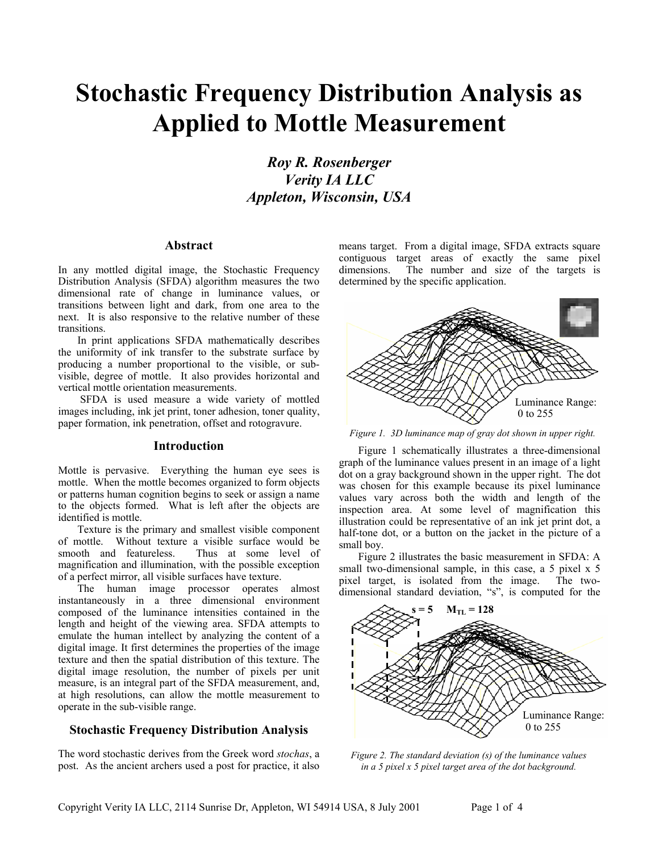# **Stochastic Frequency Distribution Analysis as Applied to Mottle Measurement**

*Roy R. Rosenberger Verity IA LLC Appleton, Wisconsin, USA* 

# **Abstract**

In any mottled digital image, the Stochastic Frequency Distribution Analysis (SFDA) algorithm measures the two dimensional rate of change in luminance values, or transitions between light and dark, from one area to the next. It is also responsive to the relative number of these transitions.

In print applications SFDA mathematically describes the uniformity of ink transfer to the substrate surface by producing a number proportional to the visible, or subvisible, degree of mottle. It also provides horizontal and vertical mottle orientation measurements.

SFDA is used measure a wide variety of mottled images including, ink jet print, toner adhesion, toner quality, paper formation, ink penetration, offset and rotogravure.

# **Introduction**

Mottle is pervasive. Everything the human eye sees is mottle. When the mottle becomes organized to form objects or patterns human cognition begins to seek or assign a name to the objects formed. What is left after the objects are identified is mottle.

Texture is the primary and smallest visible component of mottle. Without texture a visible surface would be smooth and featureless. Thus at some level of magnification and illumination, with the possible exception of a perfect mirror, all visible surfaces have texture.

The human image processor operates almost instantaneously in a three dimensional environment composed of the luminance intensities contained in the length and height of the viewing area. SFDA attempts to emulate the human intellect by analyzing the content of a digital image. It first determines the properties of the image texture and then the spatial distribution of this texture. The digital image resolution, the number of pixels per unit measure, is an integral part of the SFDA measurement, and, at high resolutions, can allow the mottle measurement to operate in the sub-visible range.

# **Stochastic Frequency Distribution Analysis**

The word stochastic derives from the Greek word *stochas*, a post. As the ancient archers used a post for practice, it also

means target. From a digital image, SFDA extracts square contiguous target areas of exactly the same pixel dimensions. The number and size of the targets is determined by the specific application.



*Figure 1. 3D luminance map of gray dot shown in upper right.* 

Figure 1 schematically illustrates a three-dimensional graph of the luminance values present in an image of a light dot on a gray background shown in the upper right. The dot was chosen for this example because its pixel luminance values vary across both the width and length of the inspection area. At some level of magnification this illustration could be representative of an ink jet print dot, a half-tone dot, or a button on the jacket in the picture of a small boy.

Figure 2 illustrates the basic measurement in SFDA: A small two-dimensional sample, in this case, a 5 pixel x 5 pixel target, is isolated from the image. The twodimensional standard deviation, "s", is computed for the



*Figure 2. The standard deviation (s) of the luminance values in a 5 pixel x 5 pixel target area of the dot background.*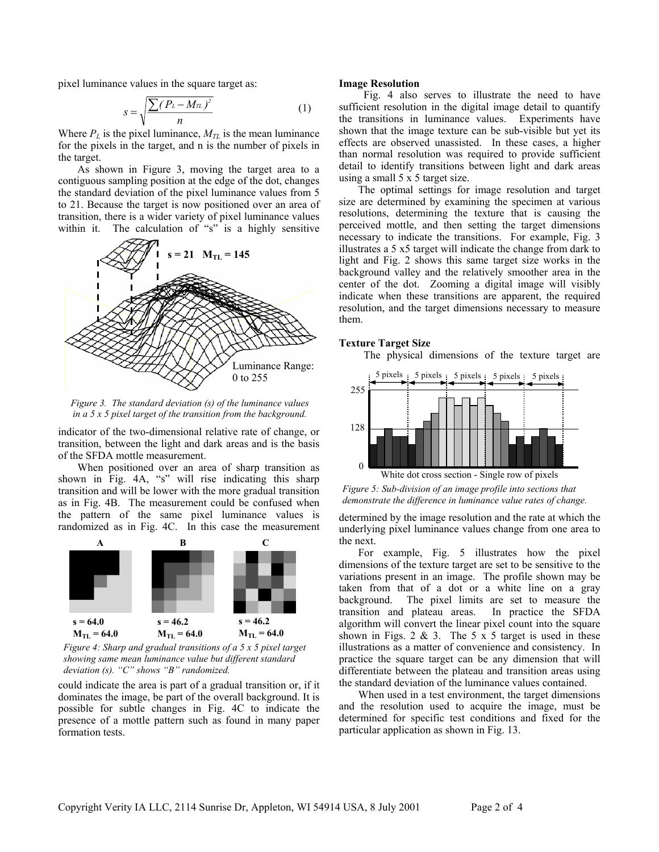pixel luminance values in the square target as: **Image Resolution** 

$$
s = \sqrt{\frac{\sum (P_L - M_{\pi})^2}{n}} \tag{1}
$$

Where  $P_L$  is the pixel luminance,  $M_{TL}$  is the mean luminance for the pixels in the target, and n is the number of pixels in the target.

As shown in Figure 3, moving the target area to a contiguous sampling position at the edge of the dot, changes the standard deviation of the pixel luminance values from 5 to 21. Because the target is now positioned over an area of transition, there is a wider variety of pixel luminance values within it. The calculation of "s" is a highly sensitive



*Figure 3. The standard deviation (s) of the luminance values in a 5 x 5 pixel target of the transition from the background.* 

indicator of the two-dimensional relative rate of change, or transition, between the light and dark areas and is the basis of the SFDA mottle measurement.

When positioned over an area of sharp transition as shown in Fig. 4A, "s" will rise indicating this sharp transition and will be lower with the more gradual transition as in Fig. 4B. The measurement could be confused when the pattern of the same pixel luminance values is randomized as in Fig. 4C. In this case the measurement



*Figure 4: Sharp and gradual transitions of a 5 x 5 pixel target showing same mean luminance value but different standard deviation (s). "C" shows "B" randomized.* 

could indicate the area is part of a gradual transition or, if it dominates the image, be part of the overall background. It is possible for subtle changes in Fig. 4C to indicate the presence of a mottle pattern such as found in many paper formation tests.

Fig. 4 also serves to illustrate the need to have sufficient resolution in the digital image detail to quantify the transitions in luminance values. Experiments have shown that the image texture can be sub-visible but yet its effects are observed unassisted. In these cases, a higher than normal resolution was required to provide sufficient detail to identify transitions between light and dark areas using a small 5 x 5 target size.

The optimal settings for image resolution and target size are determined by examining the specimen at various resolutions, determining the texture that is causing the perceived mottle, and then setting the target dimensions necessary to indicate the transitions. For example, Fig. 3 illustrates a 5 x5 target will indicate the change from dark to light and Fig. 2 shows this same target size works in the background valley and the relatively smoother area in the center of the dot. Zooming a digital image will visibly indicate when these transitions are apparent, the required resolution, and the target dimensions necessary to measure them.

# **Texture Target Size**

The physical dimensions of the texture target are



*Figure 5: Sub-division of an image profile into sections that demonstrate the difference in luminance value rates of change.* 

determined by the image resolution and the rate at which the underlying pixel luminance values change from one area to the next.

For example, Fig. 5 illustrates how the pixel dimensions of the texture target are set to be sensitive to the variations present in an image. The profile shown may be taken from that of a dot or a white line on a gray background. The pixel limits are set to measure the transition and plateau areas. In practice the SFDA algorithm will convert the linear pixel count into the square shown in Figs. 2 & 3. The 5  $\times$  5 target is used in these illustrations as a matter of convenience and consistency. In practice the square target can be any dimension that will differentiate between the plateau and transition areas using the standard deviation of the luminance values contained.

When used in a test environment, the target dimensions and the resolution used to acquire the image, must be determined for specific test conditions and fixed for the particular application as shown in Fig. 13.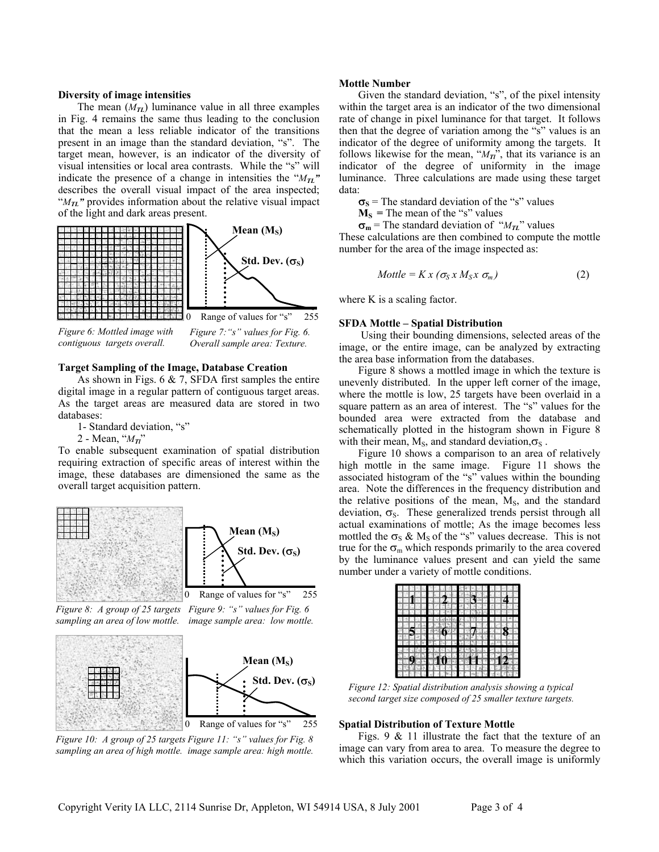The mean  $(M_{\mathcal{I}})$  luminance value in all three examples in Fig. 4 remains the same thus leading to the conclusion that the mean a less reliable indicator of the transitions present in an image than the standard deviation, "s". The target mean, however, is an indicator of the diversity of visual intensities or local area contrasts. While the "s" will indicate the presence of a change in intensities the " $M_{\mathcal{I}L}$ " describes the overall visual impact of the area inspected; " $M_{\mathcal{I}L}$ " provides information about the relative visual impact of the light and dark areas present.



*Figure 6: Mottled image with contiguous targets overall.* 



### **Target Sampling of the Image, Database Creation**

As shown in Figs.  $6 \& 7$ , SFDA first samples the entire digital image in a regular pattern of contiguous target areas. As the target areas are measured data are stored in two databases:

1- Standard deviation, "s"

2 - Mean, "*MTl*"

To enable subsequent examination of spatial distribution requiring extraction of specific areas of interest within the image, these databases are dimensioned the same as the overall target acquisition pattern.



*Figure 8: A group of 25 targets Figure 9: "s" values for Fig. 6* sampling an area of low mottle. image sample area: low mottle.



*Figure 11: "s" values for Fig. 8 Figure 10: A group of 25 targets*  sampling an area of high mottle. image sample area: high mottle.

#### **Mottle Number**

**Diversity of image intensities** Given the standard deviation, "s", of the pixel intensity within the target area is an indicator of the two dimensional rate of change in pixel luminance for that target. It follows then that the degree of variation among the "s" values is an indicator of the degree of uniformity among the targets. It follows likewise for the mean, " $M_T$ ", that its variance is an indicator of the degree of uniformity in the image luminance. Three calculations are made using these target data:

 $\sigma_s$  = The standard deviation of the "s" values

 $M<sub>S</sub>$  = The mean of the "s" values

 $\sigma_m$  = The standard deviation of " $M_{\tau}$ " values

These calculations are then combined to compute the mottle number for the area of the image inspected as:

$$
Mottle = K x (\sigma_S x M_S x \sigma_m)
$$
 (2)

where K is a scaling factor.

#### **SFDA Mottle – Spatial Distribution**

Using their bounding dimensions, selected areas of the image, or the entire image, can be analyzed by extracting the area base information from the databases.

Figure 8 shows a mottled image in which the texture is unevenly distributed. In the upper left corner of the image, where the mottle is low, 25 targets have been overlaid in a square pattern as an area of interest. The "s" values for the bounded area were extracted from the database and schematically plotted in the histogram shown in Figure 8 with their mean,  $M_s$ , and standard deviation, $\sigma_s$ .

Figure 10 shows a comparison to an area of relatively high mottle in the same image. Figure 11 shows the associated histogram of the "s" values within the bounding area. Note the differences in the frequency distribution and the relative positions of the mean,  $M<sub>S</sub>$ , and the standard deviation,  $\sigma_s$ . These generalized trends persist through all actual examinations of mottle; As the image becomes less mottled the  $\sigma_s \& M_s$  of the "s" values decrease. This is not true for the  $\sigma_{\rm m}$  which responds primarily to the area covered by the luminance values present and can yield the same number under a variety of mottle conditions.

|    |                             |            |              |                | asya<br>Manazar  |    |      | e Mys<br>E Se<br>E Se |  |       | Z |  |
|----|-----------------------------|------------|--------------|----------------|------------------|----|------|-----------------------|--|-------|---|--|
|    | $-20 - 20$<br><b>IPRODU</b> |            |              |                |                  |    |      |                       |  |       |   |  |
| T. |                             |            |              |                | <b>NEW ORDER</b> |    | 5.0% |                       |  |       |   |  |
|    |                             |            | <b>Dalla</b> |                |                  |    | ю    |                       |  |       |   |  |
|    |                             |            |              |                |                  |    |      | 2010年10月              |  |       |   |  |
|    | $\mathbf{P}$                |            |              |                | $\frac{23}{126}$ |    |      | NYZIE                 |  | ाप्रश |   |  |
| T. |                             |            |              |                |                  | 石器 |      |                       |  |       |   |  |
|    |                             |            |              |                |                  |    |      |                       |  |       |   |  |
|    |                             |            |              | $\blacksquare$ |                  |    |      |                       |  |       |   |  |
|    |                             | <b>GRS</b> |              |                |                  |    |      | ۰                     |  |       |   |  |
|    |                             |            |              | <b>STOR</b>    |                  |    |      |                       |  |       |   |  |

*Figure 12: Spatial distribution analysis showing a typical second target size composed of 25 smaller texture targets.* 

#### **Spatial Distribution of Texture Mottle**

Figs. 9 & 11 illustrate the fact that the texture of an image can vary from area to area. To measure the degree to which this variation occurs, the overall image is uniformly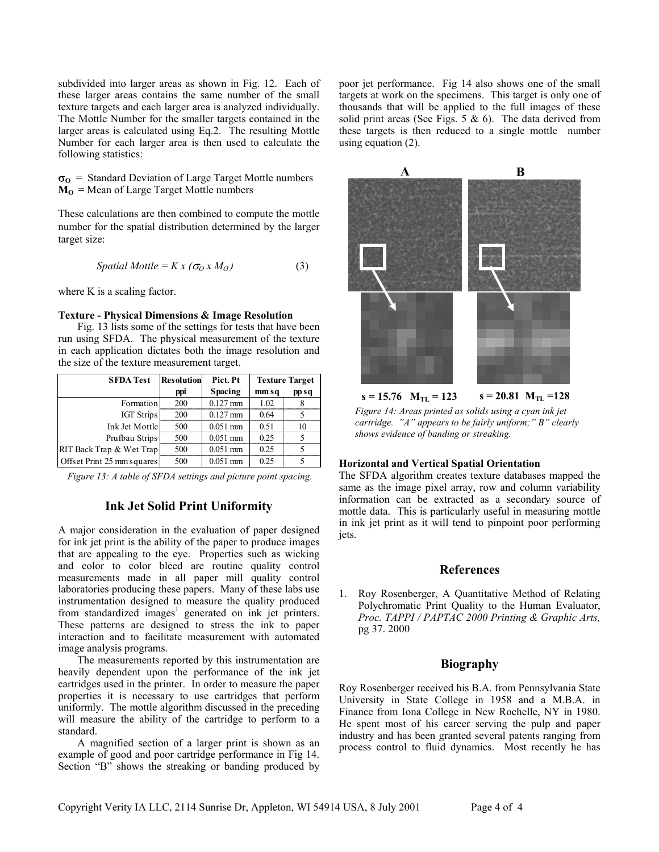subdivided into larger areas as shown in Fig. 12. Each of these larger areas contains the same number of the small texture targets and each larger area is analyzed individually. The Mottle Number for the smaller targets contained in the larger areas is calculated using Eq.2. The resulting Mottle Number for each larger area is then used to calculate the following statistics:

σ**O** = Standard Deviation of Large Target Mottle numbers  $M<sub>o</sub>$  = Mean of Large Target Mottle numbers

These calculations are then combined to compute the mottle number for the spatial distribution determined by the larger target size:

$$
Spatial Mottle = K x (\sigma_0 x M_0)
$$
 (3)

where K is a scaling factor.

## **Texture - Physical Dimensions & Image Resolution**

Fig. 13 lists some of the settings for tests that have been run using SFDA. The physical measurement of the texture in each application dictates both the image resolution and the size of the texture measurement target.

| <b>SFDA Test</b>           | <b>Resolution</b> | Pict. Pt   | <b>Texture Target</b> |       |  |  |
|----------------------------|-------------------|------------|-----------------------|-------|--|--|
|                            | ppi               | Spacing    | mm sq                 | pp sq |  |  |
| Formation                  | 200               | $0.127$ mm | 1.02                  |       |  |  |
| <b>IGT Strips</b>          | 200               | $0.127$ mm | 0.64                  |       |  |  |
| Ink Jet Mottle             | 500               | $0.051$ mm | 0.51                  | 10    |  |  |
| Prufbau Strips             | 500               | $0.051$ mm | 0.25                  |       |  |  |
| RIT Back Trap & Wet Trap   | 500               | $0.051$ mm | 0.25                  |       |  |  |
| Offset Print 25 mm squares | 500               | $0.051$ mm | 0.25                  |       |  |  |

*Figure 13: A table of SFDA settings and picture point spacing.* 

# **Ink Jet Solid Print Uniformity**

A major consideration in the evaluation of paper designed for ink jet print is the ability of the paper to produce images that are appealing to the eye. Properties such as wicking and color to color bleed are routine quality control measurements made in all paper mill quality control laboratories producing these papers. Many of these labs use instrumentation designed to measure the quality produced fromstandardized images<sup>1</sup> generated on ink jet printers. These patterns are designed to stress the ink to paper interaction and to facilitate measurement with automated image analysis programs.

The measurements reported by this instrumentation are heavily dependent upon the performance of the ink jet cartridges used in the printer. In order to measure the paper properties it is necessary to use cartridges that perform uniformly. The mottle algorithm discussed in the preceding will measure the ability of the cartridge to perform to a standard.

A magnified section of a larger print is shown as an example of good and poor cartridge performance in Fig 14. Section "B" shows the streaking or banding produced by

poor jet performance. Fig 14 also shows one of the small targets at work on the specimens. This target is only one of thousands that will be applied to the full images of these solid print areas (See Figs. 5  $\&$  6). The data derived from these targets is then reduced to a single mottle number using equation (2).



*Figure 14: Areas printed as solids using a cyan ink jet cartridge. "A" appears to be fairly uniform;" B" clearly shows evidence of banding or streaking.* 

# **Horizontal and Vertical Spatial Orientation**

The SFDA algorithm creates texture databases mapped the same as the image pixel array, row and column variability information can be extracted as a secondary source of mottle data. This is particularly useful in measuring mottle in ink jet print as it will tend to pinpoint poor performing jets.

# **References**

<span id="page-3-0"></span>1. Roy Rosenberger, A Quantitative Method of Relating Polychromatic Print Quality to the Human Evaluator, *Proc. TAPPI / PAPTAC 2000 Printing & Graphic Arts,*  pg 37. 2000

# **Biography**

Roy Rosenberger received his B.A. from Pennsylvania State University in State College in 1958 and a M.B.A. in Finance from Iona College in New Rochelle, NY in 1980. He spent most of his career serving the pulp and paper industry and has been granted several patents ranging from process control to fluid dynamics. Most recently he has